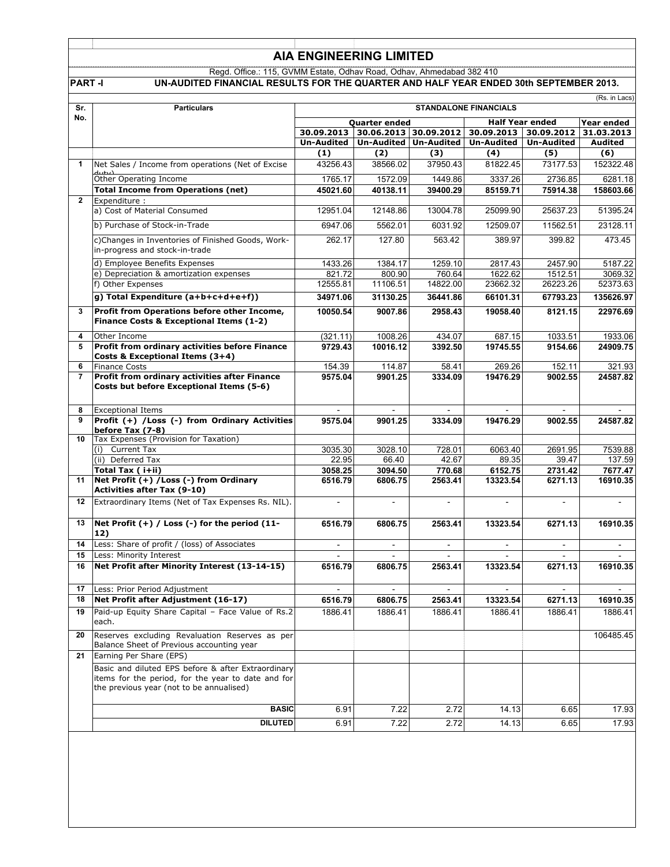## **AIA ENGINEERING LIMITED**

Regd. Office.: 115, GVMM Estate, Odhav Road, Odhav, Ahmedabad 382 410

### **PART -I UN-AUDITED FINANCIAL RESULTS FOR THE QUARTER AND HALF YEAR ENDED 30th SEPTEMBER 2013.**

|                | (Rs. in Lacs)                                                                                                                                        |                     |                          |                     |                                                                       |                     |                      |
|----------------|------------------------------------------------------------------------------------------------------------------------------------------------------|---------------------|--------------------------|---------------------|-----------------------------------------------------------------------|---------------------|----------------------|
| Sr.            | <b>Particulars</b>                                                                                                                                   |                     |                          |                     | <b>STANDALONE FINANCIALS</b>                                          |                     |                      |
| No.            |                                                                                                                                                      |                     | <b>Quarter ended</b>     |                     | <b>Half Year ended</b>                                                |                     | Year ended           |
|                |                                                                                                                                                      |                     |                          |                     | 30.09.2013 30.06.2013 30.09.2012 30.09.2013 30.09.2012 3              |                     | 31.03.2013           |
|                |                                                                                                                                                      |                     | (2)                      |                     | Un-Audited   Un-Audited   Un-Audited   Un-Audited   Un-Audited<br>(4) |                     | <b>Audited</b>       |
|                | Net Sales / Income from operations (Net of Excise                                                                                                    | (1)<br>43256.43     | 38566.02                 | (3)<br>37950.43     | 81822.45                                                              | (5)<br>73177.53     | (6)<br>152322.48     |
|                |                                                                                                                                                      |                     |                          |                     |                                                                       |                     |                      |
|                | Other Operating Income<br><b>Total Income from Operations (net)</b>                                                                                  | 1765.17<br>45021.60 | 1572.09<br>40138.11      | 1449.86<br>39400.29 | 3337.26<br>85159.71                                                   | 2736.85<br>75914.38 | 6281.18<br>158603.66 |
| $\mathbf{2}$   | Expenditure :                                                                                                                                        |                     |                          |                     |                                                                       |                     |                      |
|                | a) Cost of Material Consumed                                                                                                                         | 12951.04            | 12148.86                 | 13004.78            | 25099.90                                                              | 25637.23            | 51395.24             |
|                | b) Purchase of Stock-in-Trade                                                                                                                        | 6947.06             | 5562.01                  | 6031.92             | 12509.07                                                              | 11562.51            | 23128.11             |
|                | c)Changes in Inventories of Finished Goods, Work-<br>in-progress and stock-in-trade                                                                  | 262.17              | 127.80                   | 563.42              | 389.97                                                                | 399.82              | 473.45               |
|                | d) Employee Benefits Expenses                                                                                                                        | 1433.26             | 1384.17                  | 1259.10             | 2817.43                                                               | 2457.90             | 5187.22              |
|                | e) Depreciation & amortization expenses                                                                                                              | 821.72              | 800.90                   | 760.64              | 1622.62                                                               | 1512.51             | 3069.32              |
|                | f) Other Expenses                                                                                                                                    | 12555.81            | 11106.51                 | 14822.00            | 23662.32                                                              | 26223.26            | 52373.63             |
|                | g) Total Expenditure (a+b+c+d+e+f))                                                                                                                  | 34971.06            | 31130.25                 | 36441.86            | 66101.31                                                              | 67793.23            | 135626.97            |
| 3              | Profit from Operations before other Income,                                                                                                          | 10050.54            | 9007.86                  | 2958.43             | 19058.40                                                              | 8121.15             | 22976.69             |
|                | Finance Costs & Exceptional Items (1-2)                                                                                                              |                     |                          |                     |                                                                       |                     |                      |
| 4              | Other Income                                                                                                                                         | (321.11)            | 1008.26                  | 434.07              | 687.15                                                                | 1033.51             | 1933.06              |
| 5              | Profit from ordinary activities before Finance<br>Costs & Exceptional Items (3+4)                                                                    | 9729.43             | 10016.12                 | 3392.50             | 19745.55                                                              | 9154.66             | 24909.75             |
| 6              | <b>Finance Costs</b>                                                                                                                                 | 154.39              | 114.87                   | 58.41               | 269.26                                                                | 152.11              | 321.93               |
| $\overline{7}$ | Profit from ordinary activities after Finance<br>Costs but before Exceptional Items (5-6)                                                            | 9575.04             | 9901.25                  | 3334.09             | 19476.29                                                              | 9002.55             | 24587.82             |
| 8              | <b>Exceptional Items</b>                                                                                                                             |                     | $\sim$                   |                     |                                                                       | $\sim$              |                      |
| 9              | Profit (+) /Loss (-) from Ordinary Activities<br>before Tax (7-8)                                                                                    | 9575.04             | 9901.25                  | 3334.09             | 19476.29                                                              | 9002.55             | 24587.82             |
| 10             | Tax Expenses (Provision for Taxation)                                                                                                                |                     |                          |                     |                                                                       |                     |                      |
|                | (i) Current Tax                                                                                                                                      | 3035.30             | 3028.10                  | 728.01              | 6063.40                                                               | 2691.95             | 7539.88              |
|                | (ii) Deferred Tax<br>Total Tax ( i+ii)                                                                                                               | 22.95<br>3058.25    | 66.40<br>3094.50         | 42.67<br>770.68     | 89.35<br>6152.75                                                      | 39.47<br>2731.42    | 137.59<br>7677.47    |
| 11             | Net Profit (+) / Loss (-) from Ordinary                                                                                                              | 6516.79             | 6806.75                  | 2563.41             | 13323.54                                                              | 6271.13             | 16910.35             |
|                | <b>Activities after Tax (9-10)</b>                                                                                                                   |                     |                          |                     |                                                                       |                     |                      |
| $12 \,$        | Extraordinary Items (Net of Tax Expenses Rs. NIL).                                                                                                   | $\blacksquare$      | $\blacksquare$           | $\blacksquare$      | $\overline{\phantom{a}}$                                              | $\blacksquare$      | ÷                    |
| 13             | Net Profit $(+)$ / Loss $(-)$ for the period $(11$ -<br>12)                                                                                          | 6516.79             | 6806.75                  | 2563.41             | 13323.54                                                              | 6271.13             | 16910.35             |
| 14             | Less: Share of profit / (loss) of Associates                                                                                                         | $\sim$              | $\overline{\phantom{a}}$ | $\sim$              | $\overline{\phantom{a}}$                                              | $\sim$              | $\sim$               |
| 15             | Less: Minority Interest                                                                                                                              |                     |                          |                     |                                                                       |                     |                      |
| 16             | Net Profit after Minority Interest (13-14-15)                                                                                                        | 6516.79             | 6806.75                  | 2563.41             | 13323.54                                                              | 6271.13             | 16910.35             |
| 17             | Less: Prior Period Adjustment                                                                                                                        |                     |                          |                     |                                                                       |                     |                      |
| 18             | Net Profit after Adjustment (16-17)                                                                                                                  | 6516.79             | 6806.75                  | 2563.41             | 13323.54                                                              | 6271.13             | 16910.35             |
| 19             | Paid-up Equity Share Capital - Face Value of Rs.2<br>each.                                                                                           | 1886.41             | 1886.41                  | 1886.41             | 1886.41                                                               | 1886.41             | 1886.41              |
| 20             | Reserves excluding Revaluation Reserves as per<br>Balance Sheet of Previous accounting year                                                          |                     |                          |                     |                                                                       |                     | 106485.45            |
| 21             | Earning Per Share (EPS)                                                                                                                              |                     |                          |                     |                                                                       |                     |                      |
|                | Basic and diluted EPS before & after Extraordinary<br>items for the period, for the year to date and for<br>the previous year (not to be annualised) |                     |                          |                     |                                                                       |                     |                      |
|                | <b>BASIC</b>                                                                                                                                         | 6.91                | 7.22                     | 2.72                | 14.13                                                                 | 6.65                | 17.93                |
|                | <b>DILUTED</b>                                                                                                                                       | 6.91                | 7.22                     | 2.72                | 14.13                                                                 | 6.65                | 17.93                |
|                |                                                                                                                                                      |                     |                          |                     |                                                                       |                     |                      |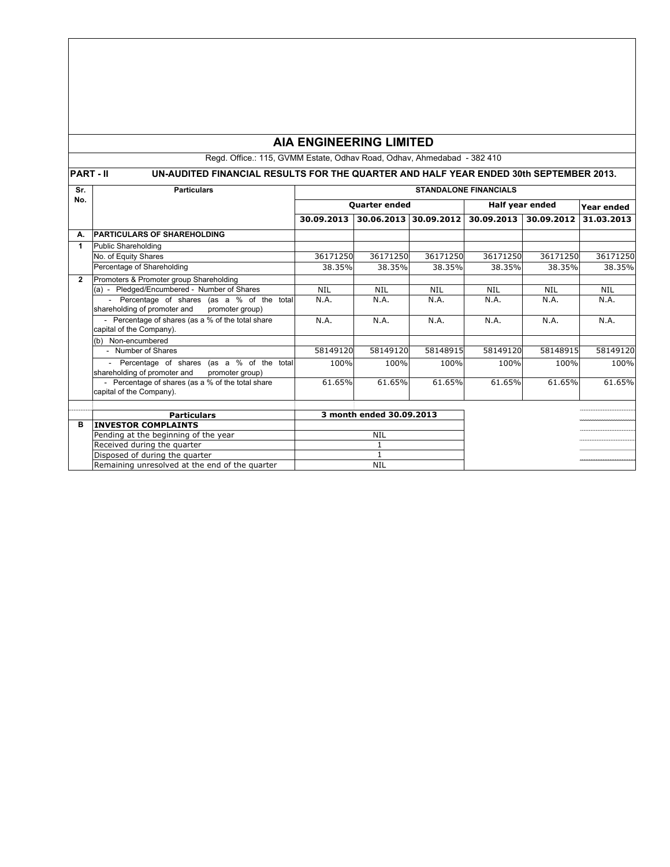# **AIA ENGINEERING LIMITED**

Regd. Office.: 115, GVMM Estate, Odhav Road, Odhav, Ahmedabad - 382 410

# **PART - II UN-AUDITED FINANCIAL RESULTS FOR THE QUARTER AND HALF YEAR ENDED 30th SEPTEMBER 2013.**

| Sr.            | <b>Particulars</b>                                                                           | <b>STANDALONE FINANCIALS</b> |                          |                       |                 |            |            |  |
|----------------|----------------------------------------------------------------------------------------------|------------------------------|--------------------------|-----------------------|-----------------|------------|------------|--|
| No.            |                                                                                              | <b>Quarter ended</b>         |                          |                       | Half year ended |            | Year ended |  |
|                |                                                                                              | 30.09.2013                   |                          | 30.06.2013 30.09.2012 | 30.09.2013      | 30.09.2012 | 31.03.2013 |  |
| А.             | <b>PARTICULARS OF SHAREHOLDING</b>                                                           |                              |                          |                       |                 |            |            |  |
| 1              | Public Shareholding                                                                          |                              |                          |                       |                 |            |            |  |
|                | No. of Equity Shares                                                                         | 36171250                     | 36171250                 | 36171250              | 36171250        | 36171250   | 36171250   |  |
|                | Percentage of Shareholding                                                                   | 38.35%                       | 38.35%                   | 38.35%                | 38.35%          | 38.35%     | 38.35%     |  |
| $\overline{2}$ | Promoters & Promoter group Shareholding                                                      |                              |                          |                       |                 |            |            |  |
|                | (a) - Pledged/Encumbered - Number of Shares                                                  | <b>NIL</b>                   | <b>NIL</b>               | <b>NIL</b>            | <b>NIL</b>      | <b>NIL</b> | <b>NIL</b> |  |
|                | Percentage of shares (as a % of the total<br>$\sim$                                          | N.A.                         | N.A.                     | N.A.                  | N.A.            | N.A.       | N.A.       |  |
|                | shareholding of promoter and<br>promoter group)                                              |                              |                          |                       |                 |            |            |  |
|                | - Percentage of shares (as a % of the total share                                            | N.A.                         | N.A.                     | N.A.                  | N.A.            | N.A.       | N.A.       |  |
|                | capital of the Company).                                                                     |                              |                          |                       |                 |            |            |  |
|                | (b) Non-encumbered                                                                           |                              |                          |                       |                 |            |            |  |
|                | - Number of Shares                                                                           | 58149120                     | 58149120                 | 58148915              | 58149120        | 58148915   | 58149120   |  |
|                | Percentage of shares (as a % of the total<br>shareholding of promoter and<br>promoter group) | 100%                         | 100%                     | 100%                  | 100%            | 100%       | 100%       |  |
|                | - Percentage of shares (as a % of the total share                                            | 61.65%                       | 61.65%                   | 61.65%                | 61.65%          | 61.65%     | 61.65%     |  |
|                | capital of the Company).                                                                     |                              |                          |                       |                 |            |            |  |
|                |                                                                                              |                              |                          |                       |                 |            |            |  |
|                | <b>Particulars</b>                                                                           |                              | 3 month ended 30.09.2013 |                       |                 |            |            |  |
| в              | <b>INVESTOR COMPLAINTS</b>                                                                   |                              |                          |                       |                 |            |            |  |
|                | Pending at the beginning of the year                                                         |                              | <b>NIL</b>               |                       |                 |            |            |  |
|                | Received during the quarter                                                                  |                              |                          |                       |                 |            |            |  |
|                | Disposed of during the quarter                                                               |                              |                          |                       |                 |            |            |  |
|                | Remaining unresolved at the end of the quarter                                               |                              | <b>NIL</b>               |                       |                 |            |            |  |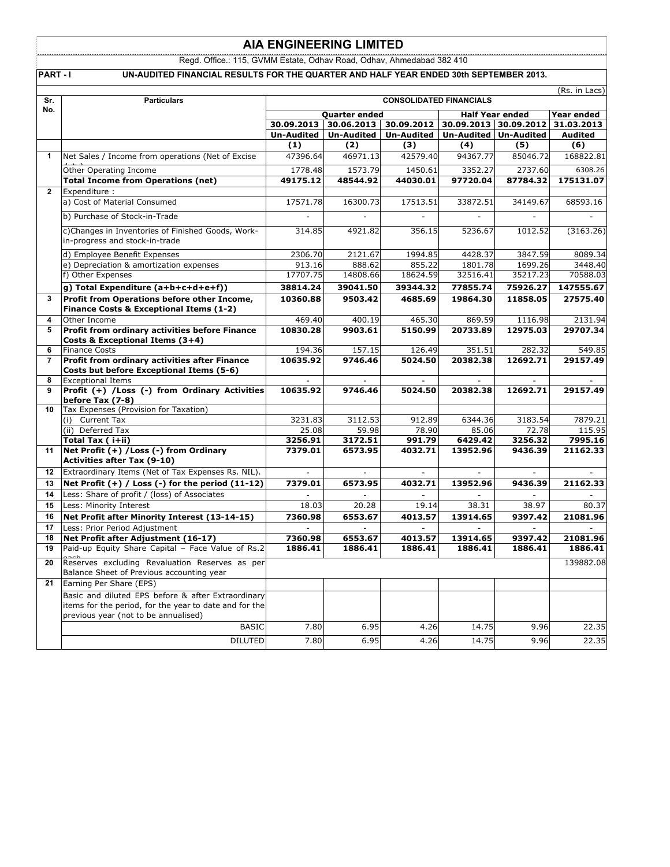## **AIA ENGINEERING LIMITED**

Regd. Office.: 115, GVMM Estate, Odhav Road, Odhav, Ahmedabad 382 410

PART - I UN-AUDITED FINANCIAL RESULTS FOR THE QUARTER AND HALF YEAR ENDED 30th SEPTEMBER 2013.

| Sr.            | <b>CONSOLIDATED FINANCIALS</b><br><b>Particulars</b>                                                                                                 |                    |                    |                                                                                       |                     | (Rs. in Lacs)            |                              |  |
|----------------|------------------------------------------------------------------------------------------------------------------------------------------------------|--------------------|--------------------|---------------------------------------------------------------------------------------|---------------------|--------------------------|------------------------------|--|
| No.            |                                                                                                                                                      |                    |                    |                                                                                       |                     |                          |                              |  |
|                |                                                                                                                                                      |                    | Quarter ended      |                                                                                       |                     | <b>Half Year ended</b>   | Year ended                   |  |
|                |                                                                                                                                                      | Un-Audited         | Un-Audited         | 30.09.2013   30.06.2013   30.09.2012   30.09.2013   30.09.2012  <br><b>Un-Audited</b> |                     | Un-Audited Un-Audited    | 31.03.2013<br><b>Audited</b> |  |
|                |                                                                                                                                                      | (1)                | (2)                | (3)                                                                                   | (4)                 | (5)                      | (6)                          |  |
| 1              | Net Sales / Income from operations (Net of Excise                                                                                                    | 47396.64           | 46971.13           | 42579.40                                                                              | 94367.77            | 85046.72                 | 168822.81                    |  |
|                |                                                                                                                                                      |                    |                    |                                                                                       |                     |                          |                              |  |
|                | Other Operating Income                                                                                                                               | 1778.48            | 1573.79            | 1450.61                                                                               | 3352.27             | 2737.60                  | 6308.26                      |  |
| $\overline{2}$ | <b>Total Income from Operations (net)</b>                                                                                                            | 49175.12           | 48544.92           | 44030.01                                                                              | 97720.04            | 87784.32                 | 175131.07                    |  |
|                | Expenditure :<br>a) Cost of Material Consumed                                                                                                        | 17571.78           | 16300.73           | 17513.51                                                                              | 33872.51            | 34149.67                 | 68593.16                     |  |
|                |                                                                                                                                                      |                    |                    |                                                                                       |                     |                          |                              |  |
|                | b) Purchase of Stock-in-Trade                                                                                                                        |                    |                    |                                                                                       |                     |                          |                              |  |
|                | c)Changes in Inventories of Finished Goods, Work-<br>in-progress and stock-in-trade                                                                  | 314.85             | 4921.82            | 356.15                                                                                | 5236.67             | 1012.52                  | (3163.26)                    |  |
|                | d) Employee Benefit Expenses                                                                                                                         | 2306.70            | 2121.67            | 1994.85                                                                               | 4428.37             | 3847.59                  | 8089.34                      |  |
|                | e) Depreciation & amortization expenses                                                                                                              | 913.16             | 888.62             | 855.22                                                                                | 1801.78             | 1699.26                  | 3448.40                      |  |
|                | f) Other Expenses                                                                                                                                    | 17707.75           | 14808.66           | 18624.59                                                                              | 32516.41            | 35217.23                 | 70588.03                     |  |
|                | g) Total Expenditure (a+b+c+d+e+f))                                                                                                                  | 38814.24           | 39041.50           | 39344.32                                                                              | 77855.74            | 75926.27                 | 147555.67                    |  |
| 3              | Profit from Operations before other Income,                                                                                                          | 10360.88           | 9503.42            | 4685.69                                                                               | 19864.30            | 11858.05                 | 27575.40                     |  |
|                | Finance Costs & Exceptional Items (1-2)                                                                                                              |                    |                    |                                                                                       |                     |                          |                              |  |
| 4              | Other Income                                                                                                                                         | 469.40             | 400.19             | 465.30                                                                                | 869.59              | 1116.98                  | 2131.94                      |  |
| 5              | Profit from ordinary activities before Finance<br>Costs & Exceptional Items (3+4)                                                                    | 10830.28           | 9903.61            | 5150.99                                                                               | 20733.89            | 12975.03                 | 29707.34                     |  |
| 6              | <b>Finance Costs</b>                                                                                                                                 | 194.36             | 157.15             | 126.49                                                                                | 351.51              | 282.32                   | 549.85                       |  |
| $\overline{7}$ | Profit from ordinary activities after Finance                                                                                                        | 10635.92           | 9746.46            | 5024.50                                                                               | 20382.38            | 12692.71                 | 29157.49                     |  |
|                | Costs but before Exceptional Items (5-6)                                                                                                             |                    |                    |                                                                                       |                     |                          |                              |  |
| 8              | <b>Exceptional Items</b>                                                                                                                             |                    |                    |                                                                                       |                     | $\overline{\phantom{a}}$ | $\overline{a}$               |  |
| 9              | Profit (+) /Loss (-) from Ordinary Activities                                                                                                        | 10635.92           | 9746.46            | 5024.50                                                                               | 20382.38            | 12692.71                 | 29157.49                     |  |
|                | before Tax (7-8)                                                                                                                                     |                    |                    |                                                                                       |                     |                          |                              |  |
| 10             | Tax Expenses (Provision for Taxation)                                                                                                                |                    |                    |                                                                                       |                     |                          |                              |  |
|                | (i) Current Tax                                                                                                                                      | 3231.83            | 3112.53            | 912.89                                                                                | 6344.36             | 3183.54                  | 7879.21                      |  |
|                | (ii) Deferred Tax                                                                                                                                    | 25.08              | 59.98              | 78.90                                                                                 | 85.06               | 72.78                    | 115.95                       |  |
| 11             | Total Tax (i+ii)<br>Net Profit (+) / Loss (-) from Ordinary                                                                                          | 3256.91<br>7379.01 | 3172.51<br>6573.95 | 991.79<br>4032.71                                                                     | 6429.42<br>13952.96 | 3256.32<br>9436.39       | 7995.16<br>21162.33          |  |
|                | <b>Activities after Tax (9-10)</b>                                                                                                                   |                    |                    |                                                                                       |                     |                          |                              |  |
| 12             | Extraordinary Items (Net of Tax Expenses Rs. NIL).                                                                                                   |                    |                    |                                                                                       |                     |                          |                              |  |
| 13             | Net Profit $(+)$ / Loss $(-)$ for the period $(11-12)$                                                                                               | 7379.01            | 6573.95            | 4032.71                                                                               | 13952.96            | 9436.39                  | 21162.33                     |  |
| 14             | Less: Share of profit / (loss) of Associates                                                                                                         |                    |                    |                                                                                       |                     |                          |                              |  |
| 15             | Less: Minority Interest                                                                                                                              | 18.03              | 20.28              | 19.14                                                                                 | 38.31               | 38.97                    | 80.37                        |  |
| 16             | Net Profit after Minority Interest (13-14-15)                                                                                                        | 7360.98            | 6553.67            | 4013.57                                                                               | 13914.65            | 9397.42                  | 21081.96                     |  |
| 17             | Less: Prior Period Adjustment                                                                                                                        |                    |                    |                                                                                       |                     |                          |                              |  |
| 18             | Net Profit after Adjustment (16-17)                                                                                                                  | 7360.98            | 6553.67            | 4013.57                                                                               | 13914.65            | 9397.42                  | 21081.96                     |  |
| 19             | Paid-up Equity Share Capital - Face Value of Rs.2                                                                                                    | 1886.41            | 1886.41            | 1886.41                                                                               | 1886.41             | 1886.41                  | 1886.41                      |  |
| 20             | Reserves excluding Revaluation Reserves as per<br>Balance Sheet of Previous accounting year                                                          |                    |                    |                                                                                       |                     |                          | 139882.08                    |  |
| 21             | Earning Per Share (EPS)                                                                                                                              |                    |                    |                                                                                       |                     |                          |                              |  |
|                | Basic and diluted EPS before & after Extraordinary<br>items for the period, for the year to date and for the<br>previous year (not to be annualised) |                    |                    |                                                                                       |                     |                          |                              |  |
|                | <b>BASIC</b>                                                                                                                                         | 7.80               | 6.95               | 4.26                                                                                  | 14.75               | 9.96                     | 22.35                        |  |
|                | <b>DILUTED</b>                                                                                                                                       | 7.80               | 6.95               | 4.26                                                                                  | 14.75               | 9.96                     | 22.35                        |  |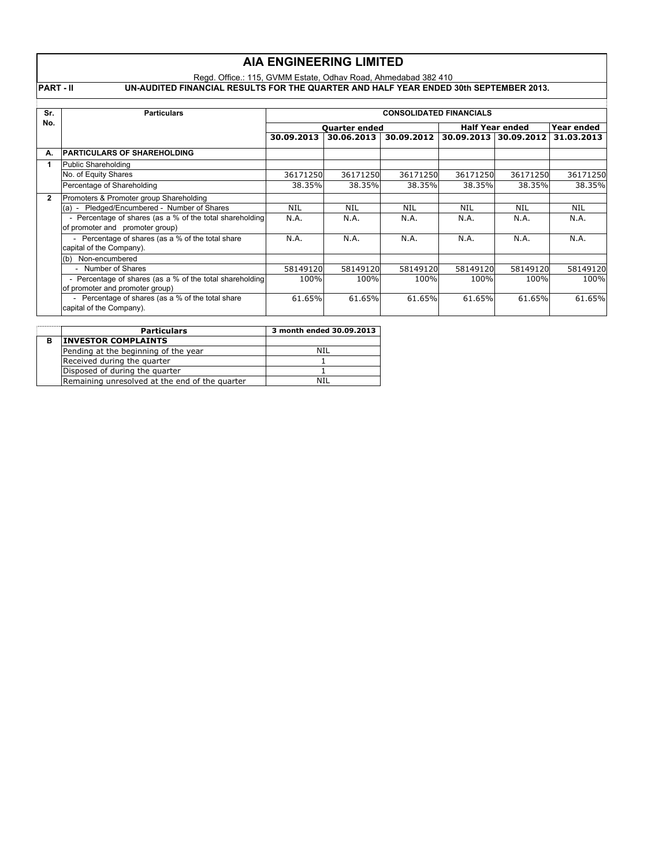|                                                             | <b>AIA ENGINEERING LIMITED</b>                                                                                                                          |                      |                          |            |                        |                       |            |  |
|-------------------------------------------------------------|---------------------------------------------------------------------------------------------------------------------------------------------------------|----------------------|--------------------------|------------|------------------------|-----------------------|------------|--|
|                                                             | Regd. Office.: 115, GVMM Estate, Odhav Road, Ahmedabad 382 410<br>UN-AUDITED FINANCIAL RESULTS FOR THE QUARTER AND HALF YEAR ENDED 30th SEPTEMBER 2013. |                      |                          |            |                        |                       |            |  |
| <b>PART-II</b>                                              |                                                                                                                                                         |                      |                          |            |                        |                       |            |  |
| Sr.<br><b>Particulars</b><br><b>CONSOLIDATED FINANCIALS</b> |                                                                                                                                                         |                      |                          |            |                        |                       |            |  |
| No.                                                         |                                                                                                                                                         | <b>Ouarter ended</b> |                          |            | <b>Half Year ended</b> |                       | Year ended |  |
|                                                             |                                                                                                                                                         | 30.09.2013           | 30.06.2013               | 30.09.2012 |                        | 30.09.2013 30.09.2012 | 31.03.2013 |  |
| А.                                                          | <b>PARTICULARS OF SHAREHOLDING</b>                                                                                                                      |                      |                          |            |                        |                       |            |  |
| 1                                                           | Public Shareholding                                                                                                                                     |                      |                          |            |                        |                       |            |  |
|                                                             | No. of Equity Shares                                                                                                                                    | 36171250             | 36171250                 | 36171250   | 36171250               | 36171250              | 36171250   |  |
|                                                             | Percentage of Shareholding                                                                                                                              | 38.35%               | 38.35%                   | 38.35%     | 38.35%                 | 38.35%                | 38.35%     |  |
| $\overline{2}$                                              | Promoters & Promoter group Shareholding                                                                                                                 |                      |                          |            |                        |                       |            |  |
|                                                             | (a) - Pledged/Encumbered - Number of Shares                                                                                                             | <b>NIL</b>           | <b>NIL</b>               | <b>NIL</b> | <b>NIL</b>             | NIL                   | <b>NIL</b> |  |
|                                                             | - Percentage of shares (as a % of the total shareholding<br>of promoter and promoter group)                                                             | N.A.                 | N.A.                     | N.A.       | N.A.                   | N.A.                  | N.A.       |  |
|                                                             | - Percentage of shares (as a % of the total share<br>capital of the Company).                                                                           | N.A.                 | N.A.                     | N.A.       | N.A.                   | N.A.                  | N.A.       |  |
|                                                             | Non-encumbered<br>(b)                                                                                                                                   |                      |                          |            |                        |                       |            |  |
|                                                             | - Number of Shares                                                                                                                                      | 58149120             | 58149120                 | 58149120   | 58149120               | 58149120              | 58149120   |  |
|                                                             | - Percentage of shares (as a % of the total shareholding<br>of promoter and promoter group)                                                             | 100%                 | 100%                     | 100%       | 100%                   | 100%                  | 100%       |  |
|                                                             | - Percentage of shares (as a % of the total share<br>capital of the Company).                                                                           | 61.65%               | 61.65%                   | 61.65%     | 61.65%                 | 61.65%                | 61.65%     |  |
|                                                             | <b>Particulars</b>                                                                                                                                      |                      | 3 month ended 30.09.2013 |            |                        |                       |            |  |

|   | <b>Particulars</b>                             | 3 month engeg 30.09.2013 |
|---|------------------------------------------------|--------------------------|
| в | <b>INVESTOR COMPLAINTS</b>                     |                          |
|   | Pending at the beginning of the year           | NIL                      |
|   | Received during the quarter                    |                          |
|   | Disposed of during the quarter                 |                          |
|   | Remaining unresolved at the end of the quarter | ΝIJ                      |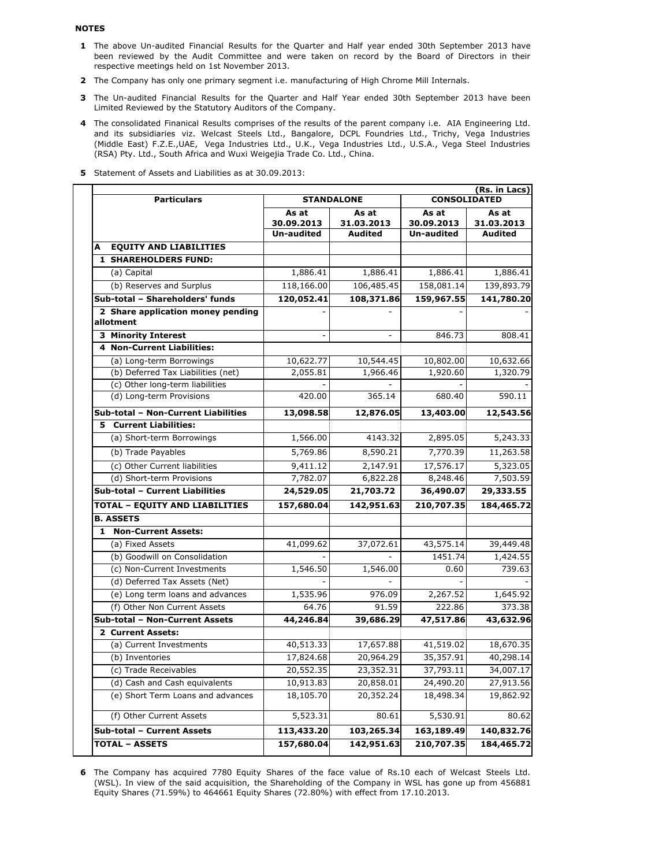#### **NOTES**

- **1** The above Un-audited Financial Results for the Quarter and Half year ended 30th September 2013 have been reviewed by the Audit Committee and were taken on record by the Board of Directors in their respective meetings held on 1st November 2013.
- **2** The Company has only one primary segment i.e. manufacturing of High Chrome Mill Internals.
- **3** The Un-audited Financial Results for the Quarter and Half Year ended 30th September 2013 have been Limited Reviewed by the Statutory Auditors of the Company.
- **4** The consolidated Finanical Results comprises of the results of the parent company i.e. AIA Engineering Ltd. and its subsidiaries viz. Welcast Steels Ltd., Bangalore, DCPL Foundries Ltd., Trichy, Vega Industries (Middle East) F.Z.E.,UAE, Vega Industries Ltd., U.K., Vega Industries Ltd., U.S.A., Vega Steel Industries (RSA) Pty. Ltd., South Africa and Wuxi Weigejia Trade Co. Ltd., China.
- **5** Statement of Assets and Liabilities as at 30.09.2013:

| <b>Particulars</b>                             | (Rs. in Lacs)<br><b>STANDALONE</b><br><b>CONSOLIDATED</b> |                     |                     |                     |  |
|------------------------------------------------|-----------------------------------------------------------|---------------------|---------------------|---------------------|--|
|                                                | As at<br>30.09.2013                                       | As at<br>31.03.2013 | As at<br>30.09.2013 | As at<br>31.03.2013 |  |
|                                                | <b>Un-audited</b>                                         | <b>Audited</b>      | <b>Un-audited</b>   | <b>Audited</b>      |  |
| <b>EQUITY AND LIABILITIES</b><br>A             |                                                           |                     |                     |                     |  |
| <b>1 SHAREHOLDERS FUND:</b>                    |                                                           |                     |                     |                     |  |
| (a) Capital                                    | 1,886.41                                                  | 1,886.41            | 1,886.41            | 1,886.41            |  |
| (b) Reserves and Surplus                       | 118,166.00                                                | 106,485.45          | 158,081.14          | 139,893.79          |  |
| Sub-total - Shareholders' funds                | 120,052.41                                                | 108,371.86          | 159,967.55          | 141,780.20          |  |
| 2 Share application money pending<br>allotment |                                                           |                     |                     |                     |  |
| <b>3 Minority Interest</b>                     |                                                           | $\blacksquare$      | 846.73              | 808.41              |  |
| 4 Non-Current Liabilities:                     |                                                           |                     |                     |                     |  |
| (a) Long-term Borrowings                       | 10,622.77                                                 | 10,544.45           | 10,802.00           | 10,632.66           |  |
| (b) Deferred Tax Liabilities (net)             | 2,055.81                                                  | 1,966.46            | 1,920.60            | 1,320.79            |  |
| (c) Other long-term liabilities                |                                                           |                     |                     |                     |  |
| (d) Long-term Provisions                       | 420.00                                                    | 365.14              | 680.40              | 590.11              |  |
| Sub-total - Non-Current Liabilities            | 13,098.58                                                 | 12,876.05           | 13,403.00           | 12,543.56           |  |
| <b>5</b> Current Liabilities:                  |                                                           |                     |                     |                     |  |
| (a) Short-term Borrowings                      | 1,566.00                                                  | 4143.32             | 2,895.05            | 5,243.33            |  |
| (b) Trade Payables                             | 5,769.86                                                  | 8,590.21            | 7,770.39            | 11,263.58           |  |
| (c) Other Current liabilities                  | 9,411.12                                                  | 2,147.91            | 17,576.17           | 5,323.05            |  |
| (d) Short-term Provisions                      | 7,782.07                                                  | 6,822.28            | 8,248.46            | 7,503.59            |  |
| Sub-total - Current Liabilities                | 24,529.05                                                 | 21,703.72           | 36,490.07           | 29,333.55           |  |
| <b>TOTAL - EQUITY AND LIABILITIES</b>          | 157,680.04                                                | 142,951.63          | 210,707.35          | 184,465.72          |  |
| <b>B. ASSETS</b>                               |                                                           |                     |                     |                     |  |
| 1 Non-Current Assets:                          |                                                           |                     |                     |                     |  |
| (a) Fixed Assets                               | 41,099.62                                                 | 37,072.61           | 43,575.14           | 39,449.48           |  |
| (b) Goodwill on Consolidation                  |                                                           |                     | 1451.74             | 1,424.55            |  |
| (c) Non-Current Investments                    | 1,546.50                                                  | 1,546.00            | 0.60                | 739.63              |  |
| (d) Deferred Tax Assets (Net)                  |                                                           |                     |                     |                     |  |
| (e) Long term loans and advances               | 1,535.96                                                  | 976.09              | 2,267.52            | 1,645.92            |  |
| (f) Other Non Current Assets                   | 64.76                                                     | 91.59               | 222.86              | 373.38              |  |
| Sub-total - Non-Current Assets                 | 44,246.84                                                 | 39,686.29           | 47,517.86           | 43,632.96           |  |
| 2 Current Assets:                              |                                                           |                     |                     |                     |  |
| (a) Current Investments                        | 40,513.33                                                 | 17,657.88           | 41,519.02           | 18,670.35           |  |
| (b) Inventories                                | 17,824.68                                                 | 20,964.29           | 35,357.91           | 40,298.14           |  |
| (c) Trade Receivables                          | $20,552.\overline{35}$                                    | 23,352.31           | 37,793.11           | 34,007.17           |  |
| (d) Cash and Cash equivalents                  | 10,913.83                                                 | 20,858.01           | 24,490.20           | 27,913.56           |  |
| (e) Short Term Loans and advances              | 18,105.70                                                 | 20,352.24           | 18,498.34           | 19,862.92           |  |
| (f) Other Current Assets                       | 5,523.31                                                  | 80.61               | 5,530.91            | 80.62               |  |
| Sub-total - Current Assets                     | 113,433.20                                                | 103,265.34          | 163,189.49          | 140,832.76          |  |
| <b>TOTAL - ASSETS</b>                          | 157,680.04                                                | 142,951.63          | 210,707.35          | 184,465.72          |  |

**6** The Company has acquired 7780 Equity Shares of the face value of Rs.10 each of Welcast Steels Ltd. (WSL). In view of the said acquisition, the Shareholding of the Company in WSL has gone up from 456881 Equity Shares (71.59%) to 464661 Equity Shares (72.80%) with effect from 17.10.2013.